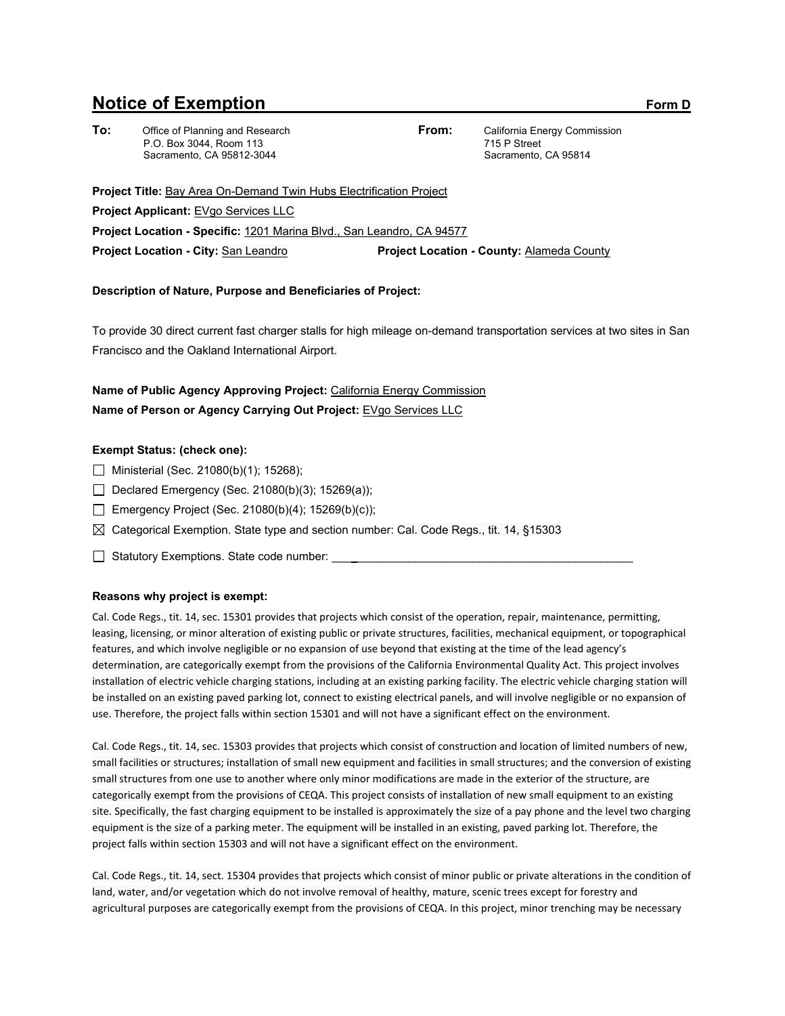# **Notice of Exemption** Form D

**To:** Office of Planning and Research P.O. Box 3044, Room 113 Sacramento, CA 95812-3044

**From:** California Energy Commission 715 P Street Sacramento, CA 95814

**Project Title:** Bay Area On-Demand Twin Hubs Electrification Project **Project Applicant:** EVgo Services LLC **Project Location - Specific:** 1201 Marina Blvd., San Leandro, CA 94577 **Project Location - City:** San Leandro **Project Location - County:** Alameda County

### **Description of Nature, Purpose and Beneficiaries of Project:**

To provide 30 direct current fast charger stalls for high mileage on-demand transportation services at two sites in San Francisco and the Oakland International Airport.

## **Name of Public Agency Approving Project:** California Energy Commission **Name of Person or Agency Carrying Out Project:** EVgo Services LLC

### **Exempt Status: (check one):**

- $\Box$  Ministerial (Sec. 21080(b)(1); 15268);
- Declared Emergency (Sec. 21080(b)(3); 15269(a));
- Emergency Project (Sec. 21080(b)(4); 15269(b)(c));
- $\boxtimes$  Categorical Exemption. State type and section number: Cal. Code Regs., tit. 14, §15303
- □ Statutory Exemptions. State code number:

#### **Reasons why project is exempt:**

Cal. Code Regs., tit. 14, sec. 15301 provides that projects which consist of the operation, repair, maintenance, permitting, leasing, licensing, or minor alteration of existing public or private structures, facilities, mechanical equipment, or topographical features, and which involve negligible or no expansion of use beyond that existing at the time of the lead agency's determination, are categorically exempt from the provisions of the California Environmental Quality Act. This project involves installation of electric vehicle charging stations, including at an existing parking facility. The electric vehicle charging station will be installed on an existing paved parking lot, connect to existing electrical panels, and will involve negligible or no expansion of use. Therefore, the project falls within section 15301 and will not have a significant effect on the environment.

Cal. Code Regs., tit. 14, sec. 15303 provides that projects which consist of construction and location of limited numbers of new, small facilities or structures; installation of small new equipment and facilities in small structures; and the conversion of existing small structures from one use to another where only minor modifications are made in the exterior of the structure, are categorically exempt from the provisions of CEQA. This project consists of installation of new small equipment to an existing site. Specifically, the fast charging equipment to be installed is approximately the size of a pay phone and the level two charging equipment is the size of a parking meter. The equipment will be installed in an existing, paved parking lot. Therefore, the project falls within section 15303 and will not have a significant effect on the environment.

Cal. Code Regs., tit. 14, sect. 15304 provides that projects which consist of minor public or private alterations in the condition of land, water, and/or vegetation which do not involve removal of healthy, mature, scenic trees except for forestry and agricultural purposes are categorically exempt from the provisions of CEQA. In this project, minor trenching may be necessary